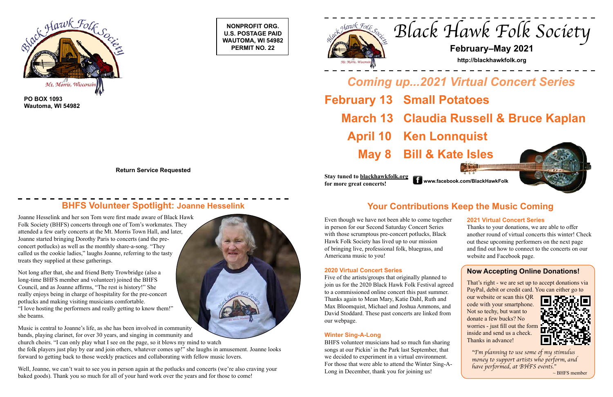**NONPROFIT ORG. U.S. POSTAGE PAID WAUTOMA, WI 54982 PERMIT NO. 22**





**PO BOX 1093 Wautoma, WI 54982**

**Return Service Requested**

## **BHFS Volunteer Spotlight: Joanne Hesselink Music Comes Act Act Act Vour Contributions Keep the Music Coming**

# *Black Hawk Folk Society*

## **February–May 2021**

**http://blackhawkfolk.org**

*Coming up...2021 Virtual Concert Series* **February 13 Small Potatoes March 13 Claudia Russell & Bruce Kaplan April 10 Ken Lonnquist May 8 Bill & Kate Isles**

**Stay tuned to blackhawkfolk.org for more great concerts! www.facebook.com/BlackHawkFolk**



Even though we have not been able to come together in person for our Second Saturday Concert Series with those scrumptous pre-concert potlucks, Black Hawk Folk Society has lived up to our mission of bringing live, professional folk, bluegrass, and Americana music to you!

#### **2020 Virtual Concert Series**

Five of the artists/groups that originally planned to join us for the 2020 Black Hawk Folk Festival agreed to a commissioned online concert this past summer. Thanks again to Mean Mary, Katie Dahl, Ruth and Max Bloomquist, Michael and Joshua Ammons, and David Stoddard. These past concerts are linked from our webpage.

#### **Winter Sing-A-Long**

BHFS volunteer musicians had so much fun sharing songs at our Pickin' in the Park last September, that we decided to experiment in a virtual environment. For those that were able to attend the Winter Sing-A-Long in December, thank you for joining us!

Well, Joanne, we can't wait to see you in person again at the potlucks and concerts (we're also craving your baked goods). Thank you so much for all of your hard work over the years and for those to come!



Joanne Hesselink and her son Tom were first made aware of Black Hawk Folk Society (BHFS) concerts through one of Tom's workmates. They attended a few early concerts at the Mt. Morris Town Hall, and later, Joanne started bringing Dorothy Paris to concerts (and the preconcert potlucks) as well as the monthly share-a-song. "They called us the cookie ladies," laughs Joanne, referring to the tasty treats they supplied at these gatherings.

Not long after that, she and friend Betty Trowbridge (also a long-time BHFS member and volunteer) joined the BHFS Council, and as Joanne affirms, "The rest is history!" She really enjoys being in charge of hospitality for the pre-concert potlucks and making visiting musicians comfortable. "I love hosting the performers and really getting to know them!" she beams.

Music is central to Joanne's life, as she has been involved in community bands, playing clarinet, for over 30 years, and singing in community and church choirs. "I can only play what I see on the page, so it blows my mind to watch the folk players just play by ear and join others, whatever comes up!" she laughs in amusement. Joanne looks forward to getting back to those weekly practices and collaborating with fellow music lovers.

#### **Now Accepting Online Donations!**

That's right - we are set up to accept donations via PayPal, debit or credit card. You can either go to

our website or scan this QR code with your smartphone. Not so techy, but want to donate a few bucks? No worries - just fill out the form inside and send us a check. Thanks in advance!



#### **2021 Virtual Concert Series**

Thanks to your donations, we are able to offer another round of virtual concerts this winter! Check out these upcoming performers on the next page and find out how to connect to the concerts on our website and Facebook page.

*"I'm planning to use some of my stimulus money to support artists who perform, and have performed, at BHFS events."*

 $\sim$  BHFS member